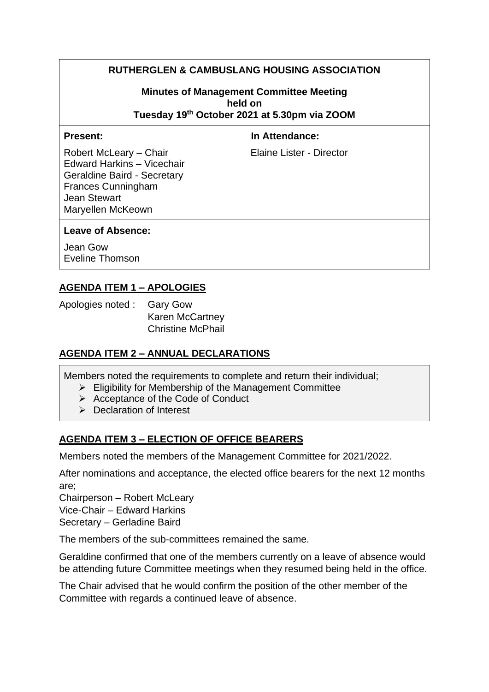## **RUTHERGLEN & CAMBUSLANG HOUSING ASSOCIATION**

## **Minutes of Management Committee Meeting held on**

**Tuesday 19th October 2021 at 5.30pm via ZOOM**

**Present:** In Attendance:

Robert McLeary – Chair Elaine Lister - Director Edward Harkins – Vicechair Geraldine Baird - Secretary Frances Cunningham Jean Stewart Maryellen McKeown

#### **Leave of Absence:**

Jean Gow Eveline Thomson

# **AGENDA ITEM 1 – APOLOGIES**

Apologies noted : Gary Gow Karen McCartney Christine McPhail

## **AGENDA ITEM 2 – ANNUAL DECLARATIONS**

Members noted the requirements to complete and return their individual;

- $\triangleright$  Eligibility for Membership of the Management Committee
	- ➢ Acceptance of the Code of Conduct
	- ➢ Declaration of Interest

## **AGENDA ITEM 3 – ELECTION OF OFFICE BEARERS**

Members noted the members of the Management Committee for 2021/2022.

After nominations and acceptance, the elected office bearers for the next 12 months are;

Chairperson – Robert McLeary

Vice-Chair – Edward Harkins

Secretary – Gerladine Baird

The members of the sub-committees remained the same.

Geraldine confirmed that one of the members currently on a leave of absence would be attending future Committee meetings when they resumed being held in the office.

The Chair advised that he would confirm the position of the other member of the Committee with regards a continued leave of absence.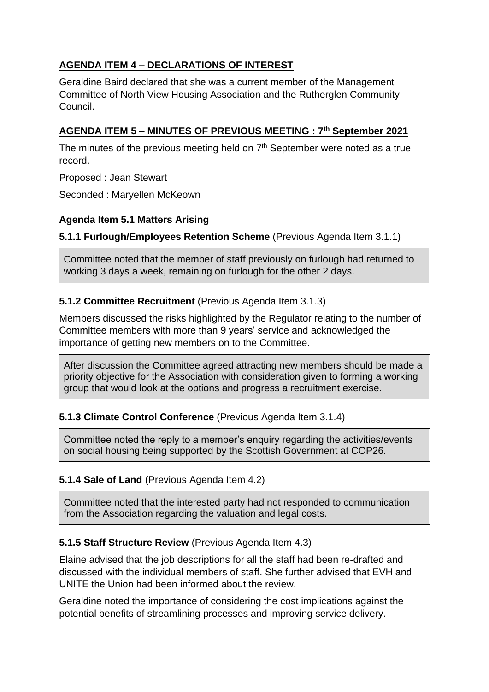# **AGENDA ITEM 4 – DECLARATIONS OF INTEREST**

Geraldine Baird declared that she was a current member of the Management Committee of North View Housing Association and the Rutherglen Community Council.

# **AGENDA ITEM 5 – MINUTES OF PREVIOUS MEETING : 7th September 2021**

The minutes of the previous meeting held on  $7<sup>th</sup>$  September were noted as a true record.

Proposed : Jean Stewart

Seconded : Maryellen McKeown

# **Agenda Item 5.1 Matters Arising**

**5.1.1 Furlough/Employees Retention Scheme** (Previous Agenda Item 3.1.1)

Committee noted that the member of staff previously on furlough had returned to working 3 days a week, remaining on furlough for the other 2 days.

## **5.1.2 Committee Recruitment** (Previous Agenda Item 3.1.3)

Members discussed the risks highlighted by the Regulator relating to the number of Committee members with more than 9 years' service and acknowledged the importance of getting new members on to the Committee.

After discussion the Committee agreed attracting new members should be made a priority objective for the Association with consideration given to forming a working group that would look at the options and progress a recruitment exercise.

## **5.1.3 Climate Control Conference** (Previous Agenda Item 3.1.4)

Committee noted the reply to a member's enquiry regarding the activities/events on social housing being supported by the Scottish Government at COP26.

## **5.1.4 Sale of Land** (Previous Agenda Item 4.2)

Committee noted that the interested party had not responded to communication from the Association regarding the valuation and legal costs.

# **5.1.5 Staff Structure Review** (Previous Agenda Item 4.3)

Elaine advised that the job descriptions for all the staff had been re-drafted and discussed with the individual members of staff. She further advised that EVH and UNITE the Union had been informed about the review.

Geraldine noted the importance of considering the cost implications against the potential benefits of streamlining processes and improving service delivery.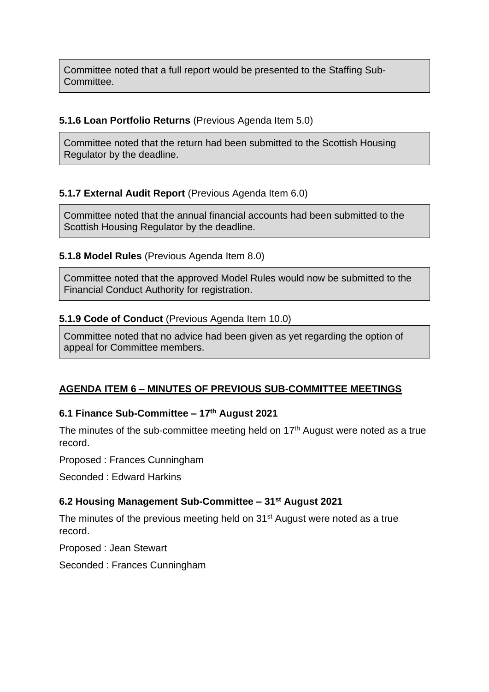Committee noted that a full report would be presented to the Staffing Sub-Committee.

#### **5.1.6 Loan Portfolio Returns** (Previous Agenda Item 5.0)

Committee noted that the return had been submitted to the Scottish Housing Regulator by the deadline.

## **5.1.7 External Audit Report** (Previous Agenda Item 6.0)

Committee noted that the annual financial accounts had been submitted to the Scottish Housing Regulator by the deadline.

#### **5.1.8 Model Rules** (Previous Agenda Item 8.0)

Committee noted that the approved Model Rules would now be submitted to the Financial Conduct Authority for registration.

#### **5.1.9 Code of Conduct** (Previous Agenda Item 10.0)

Committee noted that no advice had been given as yet regarding the option of appeal for Committee members.

## **AGENDA ITEM 6 – MINUTES OF PREVIOUS SUB-COMMITTEE MEETINGS**

## **6.1 Finance Sub-Committee – 17th August 2021**

The minutes of the sub-committee meeting held on 17<sup>th</sup> August were noted as a true record.

Proposed : Frances Cunningham

Seconded : Edward Harkins

#### **6.2 Housing Management Sub-Committee – 31st August 2021**

The minutes of the previous meeting held on 31<sup>st</sup> August were noted as a true record.

Proposed : Jean Stewart

Seconded : Frances Cunningham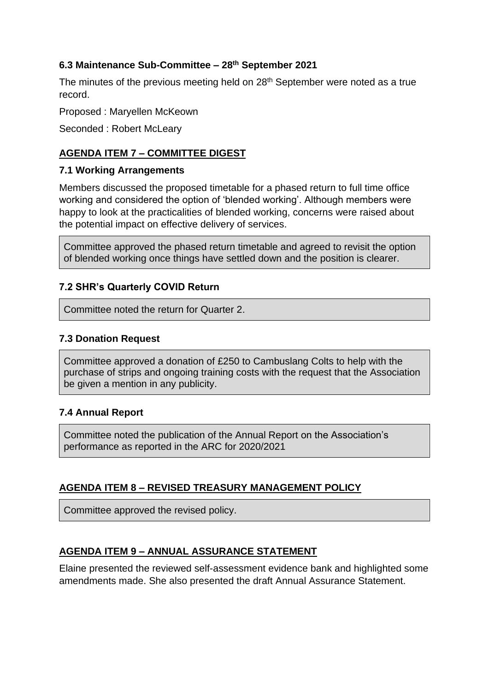#### **6.3 Maintenance Sub-Committee – 28th September 2021**

The minutes of the previous meeting held on 28<sup>th</sup> September were noted as a true record.

Proposed : Maryellen McKeown

Seconded : Robert McLeary

# **AGENDA ITEM 7 – COMMITTEE DIGEST**

#### **7.1 Working Arrangements**

Members discussed the proposed timetable for a phased return to full time office working and considered the option of 'blended working'. Although members were happy to look at the practicalities of blended working, concerns were raised about the potential impact on effective delivery of services.

Committee approved the phased return timetable and agreed to revisit the option of blended working once things have settled down and the position is clearer.

## **7.2 SHR's Quarterly COVID Return**

Committee noted the return for Quarter 2.

#### **7.3 Donation Request**

Committee approved a donation of £250 to Cambuslang Colts to help with the purchase of strips and ongoing training costs with the request that the Association be given a mention in any publicity.

#### **7.4 Annual Report**

Committee noted the publication of the Annual Report on the Association's performance as reported in the ARC for 2020/2021

## **AGENDA ITEM 8 – REVISED TREASURY MANAGEMENT POLICY**

Committee approved the revised policy.

## **AGENDA ITEM 9 – ANNUAL ASSURANCE STATEMENT**

Elaine presented the reviewed self-assessment evidence bank and highlighted some amendments made. She also presented the draft Annual Assurance Statement.